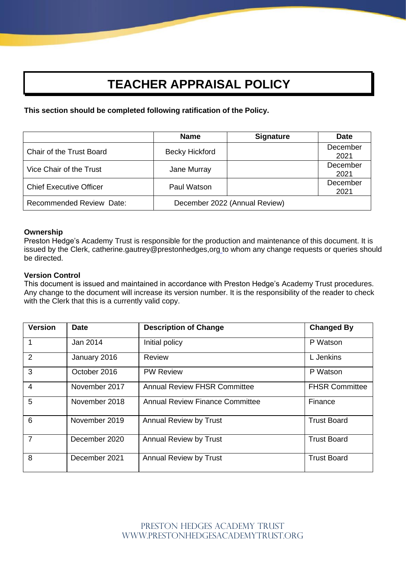# **TEACHER APPRAISAL POLICY**

**This section should be completed following ratification of the Policy.**

|                                 | <b>Name</b>           | <b>Signature</b>              | <b>Date</b>      |
|---------------------------------|-----------------------|-------------------------------|------------------|
| <b>Chair of the Trust Board</b> | <b>Becky Hickford</b> |                               | December<br>2021 |
| Vice Chair of the Trust         | Jane Murray           |                               | December<br>2021 |
| <b>Chief Executive Officer</b>  | Paul Watson           |                               | December<br>2021 |
| <b>Recommended Review Date:</b> |                       | December 2022 (Annual Review) |                  |

# **Ownership**

Preston Hedge's Academy Trust is responsible for the production and maintenance of this document. It is issued by the Clerk, catherine.gautrey@prestonhedges,org to whom any change requests or queries should be directed.

# **Version Control**

This document is issued and maintained in accordance with Preston Hedge's Academy Trust procedures. Any change to the document will increase its version number. It is the responsibility of the reader to check with the Clerk that this is a currently valid copy.

| <b>Version</b> | <b>Date</b>   | <b>Description of Change</b>           | <b>Changed By</b>     |
|----------------|---------------|----------------------------------------|-----------------------|
| 1              | Jan 2014      | Initial policy                         | P Watson              |
| $\overline{2}$ | January 2016  | Review                                 | L Jenkins             |
| 3              | October 2016  | <b>PW Review</b>                       | P Watson              |
| $\overline{4}$ | November 2017 | <b>Annual Review FHSR Committee</b>    | <b>FHSR Committee</b> |
| 5              | November 2018 | <b>Annual Review Finance Committee</b> | Finance               |
| 6              | November 2019 | Annual Review by Trust                 | <b>Trust Board</b>    |
| $\overline{7}$ | December 2020 | <b>Annual Review by Trust</b>          | <b>Trust Board</b>    |
| 8              | December 2021 | <b>Annual Review by Trust</b>          | <b>Trust Board</b>    |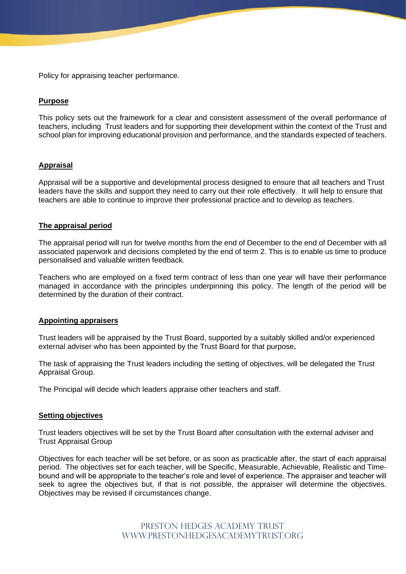Policy for appraising teacher performance.

# **Purpose**

This policy sets out the framework for a clear and consistent assessment of the overall performance of teachers, including Trust leaders and for supporting their development within the context of the Trust and school plan for improving educational provision and performance, and the standards expected of teachers.

# **Appraisal**

Appraisal will be a supportive and developmental process designed to ensure that all teachers and Trust leaders have the skills and support they need to carry out their role effectively. It will help to ensure that teachers are able to continue to improve their professional practice and to develop as teachers.

# **The appraisal period**

The appraisal period will run for twelve months from the end of December to the end of December with all associated paperwork and decisions completed by the end of term 2. This is to enable us time to produce personalised and valuable written feedback.

Teachers who are employed on a fixed term contract of less than one year will have their performance managed in accordance with the principles underpinning this policy. The length of the period will be determined by the duration of their contract.

## **Appointing appraisers**

Trust leaders will be appraised by the Trust Board, supported by a suitably skilled and/or experienced external adviser who has been appointed by the Trust Board for that purpose**.**

The task of appraising the Trust leaders including the setting of objectives, will be delegated the Trust Appraisal Group.

The Principal will decide which leaders appraise other teachers and staff.

### **Setting objectives**

Trust leaders objectives will be set by the Trust Board after consultation with the external adviser and Trust Appraisal Group

Objectives for each teacher will be set before, or as soon as practicable after, the start of each appraisal period. The objectives set for each teacher, will be Specific, Measurable, Achievable, Realistic and Timebound and will be appropriate to the teacher's role and level of experience. The appraiser and teacher will seek to agree the objectives but, if that is not possible, the appraiser will determine the objectives. Objectives may be revised if circumstances change.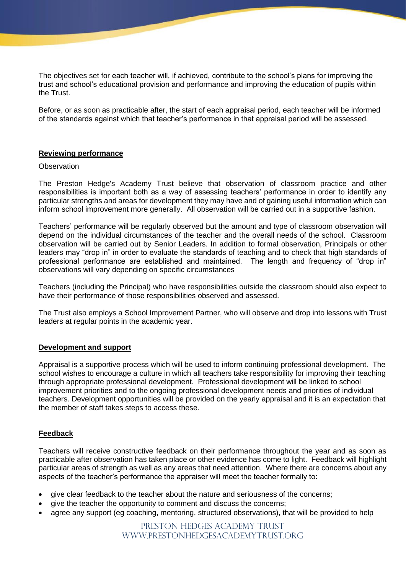The objectives set for each teacher will, if achieved, contribute to the school's plans for improving the trust and school's educational provision and performance and improving the education of pupils within the Trust.

Before, or as soon as practicable after, the start of each appraisal period, each teacher will be informed of the standards against which that teacher's performance in that appraisal period will be assessed.

# **Reviewing performance**

## **Observation**

The Preston Hedge's Academy Trust believe that observation of classroom practice and other responsibilities is important both as a way of assessing teachers' performance in order to identify any particular strengths and areas for development they may have and of gaining useful information which can inform school improvement more generally. All observation will be carried out in a supportive fashion.

Teachers' performance will be regularly observed but the amount and type of classroom observation will depend on the individual circumstances of the teacher and the overall needs of the school. Classroom observation will be carried out by Senior Leaders. In addition to formal observation, Principals or other leaders may "drop in" in order to evaluate the standards of teaching and to check that high standards of professional performance are established and maintained. The length and frequency of "drop in" observations will vary depending on specific circumstances

Teachers (including the Principal) who have responsibilities outside the classroom should also expect to have their performance of those responsibilities observed and assessed.

The Trust also employs a School Improvement Partner, who will observe and drop into lessons with Trust leaders at regular points in the academic year.

## **Development and support**

Appraisal is a supportive process which will be used to inform continuing professional development. The school wishes to encourage a culture in which all teachers take responsibility for improving their teaching through appropriate professional development. Professional development will be linked to school improvement priorities and to the ongoing professional development needs and priorities of individual teachers. Development opportunities will be provided on the yearly appraisal and it is an expectation that the member of staff takes steps to access these.

## **Feedback**

Teachers will receive constructive feedback on their performance throughout the year and as soon as practicable after observation has taken place or other evidence has come to light. Feedback will highlight particular areas of strength as well as any areas that need attention. Where there are concerns about any aspects of the teacher's performance the appraiser will meet the teacher formally to:

- give clear feedback to the teacher about the nature and seriousness of the concerns;
- give the teacher the opportunity to comment and discuss the concerns:
- agree any support (eg coaching, mentoring, structured observations), that will be provided to help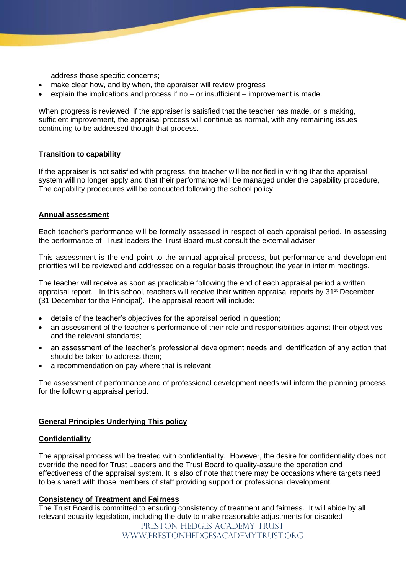address those specific concerns;

- make clear how, and by when, the appraiser will review progress
- explain the implications and process if no or insufficient improvement is made.

When progress is reviewed, if the appraiser is satisfied that the teacher has made, or is making, sufficient improvement, the appraisal process will continue as normal, with any remaining issues continuing to be addressed though that process.

# **Transition to capability**

If the appraiser is not satisfied with progress, the teacher will be notified in writing that the appraisal system will no longer apply and that their performance will be managed under the capability procedure, The capability procedures will be conducted following the school policy.

# **Annual assessment**

Each teacher's performance will be formally assessed in respect of each appraisal period. In assessing the performance of Trust leaders the Trust Board must consult the external adviser.

This assessment is the end point to the annual appraisal process, but performance and development priorities will be reviewed and addressed on a regular basis throughout the year in interim meetings*.*

The teacher will receive as soon as practicable following the end of each appraisal period a written appraisal report. In this school, teachers will receive their written appraisal reports by 31<sup>st</sup> December (31 December for the Principal). The appraisal report will include:

- details of the teacher's objectives for the appraisal period in question;
- an assessment of the teacher's performance of their role and responsibilities against their objectives and the relevant standards;
- an assessment of the teacher's professional development needs and identification of any action that should be taken to address them;
- a recommendation on pay where that is relevant

The assessment of performance and of professional development needs will inform the planning process for the following appraisal period.

# **General Principles Underlying This policy**

## **Confidentiality**

The appraisal process will be treated with confidentiality. However, the desire for confidentiality does not override the need for Trust Leaders and the Trust Board to quality-assure the operation and effectiveness of the appraisal system. It is also of note that there may be occasions where targets need to be shared with those members of staff providing support or professional development.

## **Consistency of Treatment and Fairness**

The Trust Board is committed to ensuring consistency of treatment and fairness. It will abide by all relevant equality legislation, including the duty to make reasonable adjustments for disabled

> PRESTON HEDGES ACADEMY TRUST www.prestonhedgesacademytrust.org